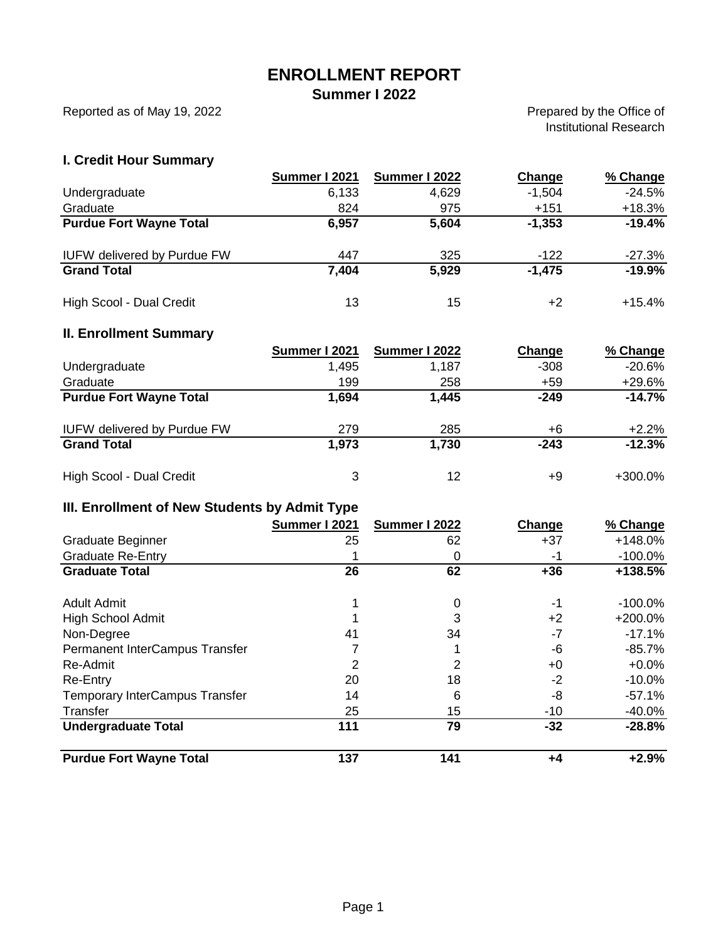## **ENROLLMENT REPORT**

**Summer I 2022**

Reported as of May 19, 2022

Prepared by the Office of Institutional Research

#### **I. Credit Hour Summary**

|                                    | Summer I 2021 | Summer I 2022 | Change   | % Change  |
|------------------------------------|---------------|---------------|----------|-----------|
| Undergraduate                      | 6,133         | 4,629         | $-1,504$ | $-24.5%$  |
| Graduate                           | 824           | 975           | $+151$   | $+18.3%$  |
| <b>Purdue Fort Wayne Total</b>     | 6,957         | 5,604         | $-1,353$ | $-19.4%$  |
| <b>IUFW delivered by Purdue FW</b> | 447           | 325           | $-122$   | $-27.3%$  |
| <b>Grand Total</b>                 | 7,404         | 5,929         | $-1,475$ | $-19.9%$  |
| High Scool - Dual Credit           | 13            | 15            | +2       | $+15.4\%$ |

#### **II. Enrollment Summary**

|                                    | Summer I 2021 | Summer I 2022 | Change | % Change  |
|------------------------------------|---------------|---------------|--------|-----------|
| Undergraduate                      | 1,495         | 1,187         | $-308$ | $-20.6\%$ |
| Graduate                           | 199           | 258           | +59    | +29.6%    |
| <b>Purdue Fort Wayne Total</b>     | 1,694         | 1,445         | $-249$ | $-14.7%$  |
| <b>IUFW delivered by Purdue FW</b> | 279           | 285           | +6     | $+2.2%$   |
| <b>Grand Total</b>                 | 1,973         | 1,730         | $-243$ | $-12.3%$  |
| High Scool - Dual Credit           | 3             | 12            | +9     | +300.0%   |

### **III. Enrollment of New Students by Admit Type**

|                                       | Summer I 2021 | Summer I 2022 | Change | % Change   |
|---------------------------------------|---------------|---------------|--------|------------|
| Graduate Beginner                     | 25            | 62            | $+37$  | $+148.0%$  |
| <b>Graduate Re-Entry</b>              |               | 0             | -1     | -100.0%    |
| <b>Graduate Total</b>                 | 26            | 62            | $+36$  | +138.5%    |
| Adult Admit                           |               | 0             | -1     | $-100.0\%$ |
| <b>High School Admit</b>              |               | 3             | $+2$   | $+200.0%$  |
| Non-Degree                            | 41            | 34            | -7     | $-17.1%$   |
| Permanent InterCampus Transfer        |               |               | -6     | -85.7%     |
| Re-Admit                              | 2             | 2             | +0     | $+0.0%$    |
| Re-Entry                              | 20            | 18            | $-2$   | $-10.0\%$  |
| <b>Temporary InterCampus Transfer</b> | 14            | 6             | -8     | -57.1%     |
| Transfer                              | 25            | 15            | $-10$  | $-40.0\%$  |
| <b>Undergraduate Total</b>            | 111           | 79            | $-32$  | $-28.8%$   |
| <b>Purdue Fort Wayne Total</b>        | 137           | 141           | +4     | $+2.9%$    |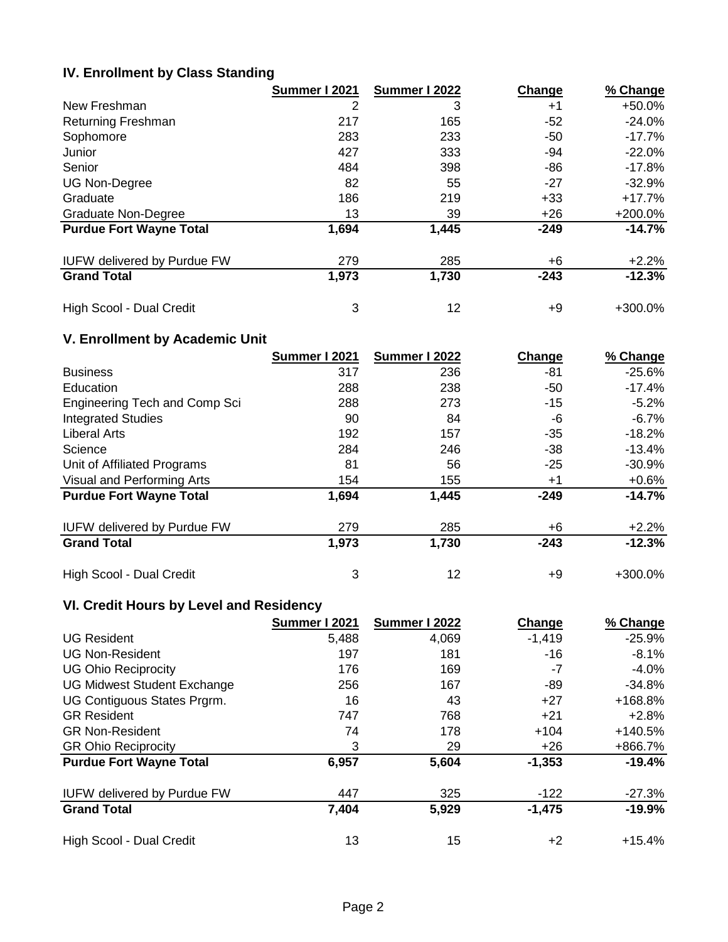#### **IV. Enrollment by Class Standing**

|                                    | Summer I 2021 | Summer I 2022 | Change | % Change  |
|------------------------------------|---------------|---------------|--------|-----------|
| New Freshman                       | 2             | 3             | $+1$   | +50.0%    |
| <b>Returning Freshman</b>          | 217           | 165           | $-52$  | $-24.0%$  |
| Sophomore                          | 283           | 233           | $-50$  | $-17.7\%$ |
| Junior                             | 427           | 333           | -94    | $-22.0%$  |
| Senior                             | 484           | 398           | $-86$  | -17.8%    |
| <b>UG Non-Degree</b>               | 82            | 55            | $-27$  | -32.9%    |
| Graduate                           | 186           | 219           | $+33$  | +17.7%    |
| <b>Graduate Non-Degree</b>         | 13            | 39            | $+26$  | +200.0%   |
| <b>Purdue Fort Wayne Total</b>     | 1,694         | 1,445         | $-249$ | $-14.7%$  |
| <b>IUFW delivered by Purdue FW</b> | 279           | 285           | +6     | $+2.2%$   |
| <b>Grand Total</b>                 | 1,973         | 1,730         | $-243$ | $-12.3%$  |
| High Scool - Dual Credit           | 3             | 12            | +9     | +300.0%   |

### **V. Enrollment by Academic Unit**

|                                      | Summer I 2021 | Summer I 2022 | Change | % Change  |
|--------------------------------------|---------------|---------------|--------|-----------|
| <b>Business</b>                      | 317           | 236           | -81    | $-25.6%$  |
| Education                            | 288           | 238           | $-50$  | $-17.4%$  |
| <b>Engineering Tech and Comp Sci</b> | 288           | 273           | $-15$  | $-5.2%$   |
| <b>Integrated Studies</b>            | 90            | 84            | -6     | $-6.7%$   |
| <b>Liberal Arts</b>                  | 192           | 157           | $-35$  | $-18.2%$  |
| Science                              | 284           | 246           | $-38$  | $-13.4\%$ |
| Unit of Affiliated Programs          | 81            | 56            | $-25$  | $-30.9%$  |
| Visual and Performing Arts           | 154           | 155           | $+1$   | $+0.6%$   |
| <b>Purdue Fort Wayne Total</b>       | 1,694         | 1,445         | $-249$ | $-14.7%$  |
| <b>IUFW delivered by Purdue FW</b>   | 279           | 285           | +6     | $+2.2%$   |
| <b>Grand Total</b>                   | 1,973         | 1,730         | $-243$ | $-12.3%$  |
| High Scool - Dual Credit             | 3             | 12            | +9     | +300.0%   |

### **VI. Credit Hours by Level and Residency**

|                                    | Summer I 2021 | Summer I 2022 | Change   | % Change  |
|------------------------------------|---------------|---------------|----------|-----------|
| <b>UG Resident</b>                 | 5,488         | 4,069         | $-1,419$ | $-25.9%$  |
| <b>UG Non-Resident</b>             | 197           | 181           | -16      | $-8.1\%$  |
| <b>UG Ohio Reciprocity</b>         | 176           | 169           | -7       | -4.0%     |
| <b>UG Midwest Student Exchange</b> | 256           | 167           | -89      | -34.8%    |
| UG Contiguous States Prgrm.        | 16            | 43            | $+27$    | +168.8%   |
| <b>GR Resident</b>                 | 747           | 768           | $+21$    | $+2.8%$   |
| <b>GR Non-Resident</b>             | 74            | 178           | $+104$   | $+140.5%$ |
| <b>GR Ohio Reciprocity</b>         | 3             | 29            | +26      | +866.7%   |
| <b>Purdue Fort Wayne Total</b>     | 6,957         | 5,604         | $-1,353$ | $-19.4%$  |
| <b>IUFW delivered by Purdue FW</b> | 447           | 325           | $-122$   | $-27.3%$  |
| <b>Grand Total</b>                 | 7,404         | 5,929         | $-1,475$ | $-19.9%$  |
| High Scool - Dual Credit           | 13            | 15            | $+2$     | $+15.4%$  |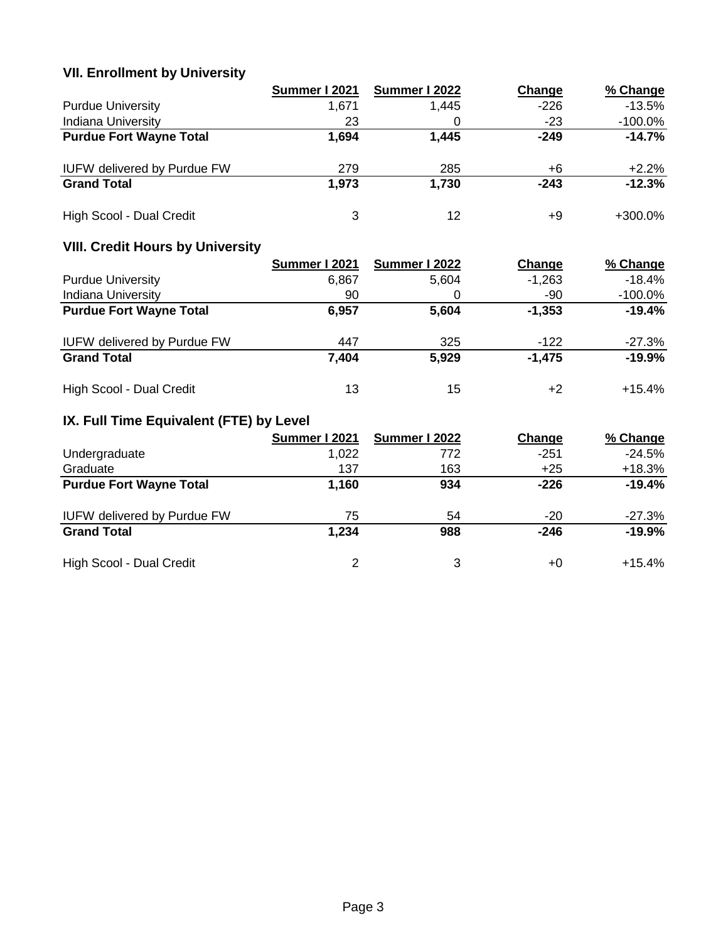# **VII. Enrollment by University**

|                                    | Summer I 2021 | Summer I 2022 | Change | % Change   |
|------------------------------------|---------------|---------------|--------|------------|
| <b>Purdue University</b>           | 1.671         | 1,445         | $-226$ | $-13.5%$   |
| <b>Indiana University</b>          | 23            |               | $-23$  | $-100.0\%$ |
| <b>Purdue Fort Wayne Total</b>     | 1,694         | 1,445         | $-249$ | $-14.7%$   |
| <b>IUFW delivered by Purdue FW</b> | 279           | 285           | +6     | $+2.2%$    |
| <b>Grand Total</b>                 | 1,973         | 1,730         | $-243$ | $-12.3%$   |
| High Scool - Dual Credit           | 3             | 12            | +9     | $+300.0\%$ |

# **VIII. Credit Hours by University**

|                                    | Summer I 2021 | Summer I 2022 | Change   | % Change   |
|------------------------------------|---------------|---------------|----------|------------|
| <b>Purdue University</b>           | 6.867         | 5,604         | $-1,263$ | $-18.4%$   |
| <b>Indiana University</b>          | 90            |               | -90      | $-100.0\%$ |
| <b>Purdue Fort Wayne Total</b>     | 6,957         | 5,604         | $-1,353$ | $-19.4%$   |
| <b>IUFW delivered by Purdue FW</b> | 447           | 325           | $-122$   | $-27.3\%$  |
| <b>Grand Total</b>                 | 7,404         | 5,929         | $-1,475$ | $-19.9%$   |
| High Scool - Dual Credit           | 13            | 15            | +2       | $+15.4\%$  |

# **IX. Full Time Equivalent (FTE) by Level**

|                                    | Summer I 2021 | Summer I 2022 | Change | % Change |
|------------------------------------|---------------|---------------|--------|----------|
| Undergraduate                      | 1,022         | 772           | $-251$ | $-24.5%$ |
| Graduate                           | 137           | 163           | $+25$  | $+18.3%$ |
| <b>Purdue Fort Wayne Total</b>     | 1,160         | 934           | $-226$ | $-19.4%$ |
| <b>IUFW delivered by Purdue FW</b> | 75            | 54            | $-20$  | $-27.3%$ |
| <b>Grand Total</b>                 | 1,234         | 988           | $-246$ | $-19.9%$ |
| High Scool - Dual Credit           | 2             | 3             | +0     | $+15.4%$ |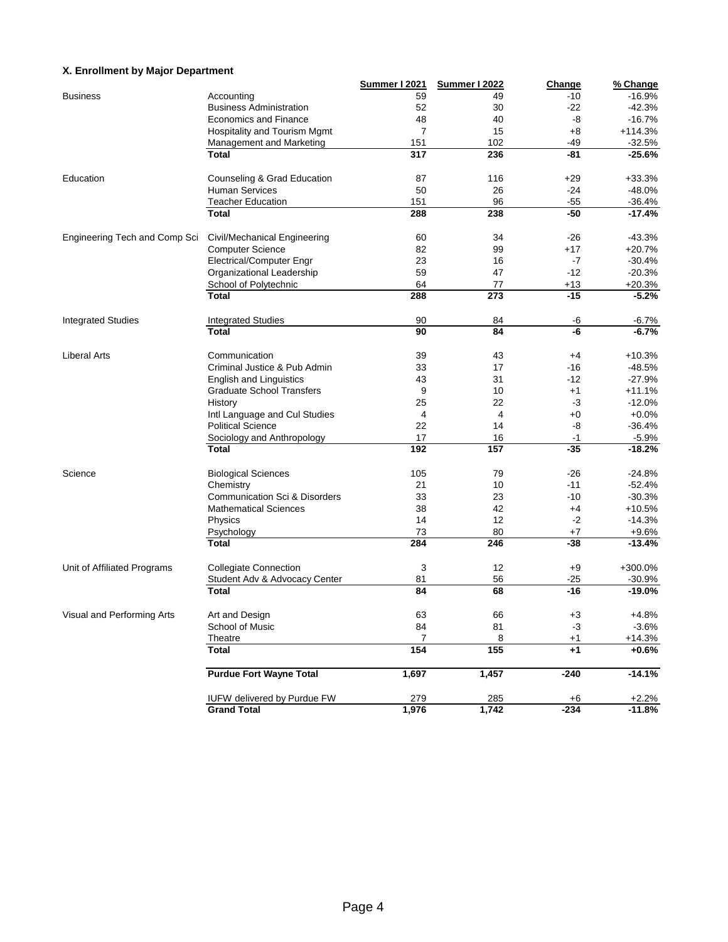#### **X. Enrollment by Major Department**

|                               |                                          | <b>Summer I 2021</b> | <b>Summer I 2022</b> | Change         | % Change             |
|-------------------------------|------------------------------------------|----------------------|----------------------|----------------|----------------------|
| <b>Business</b>               | Accounting                               | 59                   | 49                   | $-10$          | $-16.9%$             |
|                               | <b>Business Administration</b>           | 52                   | 30                   | $-22$          | $-42.3%$             |
|                               | <b>Economics and Finance</b>             | 48                   | 40                   | -8             | $-16.7%$             |
|                               | Hospitality and Tourism Mgmt             | $\overline{7}$       | 15                   | +8             | $+114.3%$            |
|                               | Management and Marketing                 | 151                  | 102                  | -49            | $-32.5%$             |
|                               | <b>Total</b>                             | 317                  | 236                  | -81            | $-25.6%$             |
| Education                     | Counseling & Grad Education              | 87                   | 116                  | $+29$          | $+33.3%$             |
|                               | <b>Human Services</b>                    | 50                   | 26                   | $-24$          | $-48.0%$             |
|                               | <b>Teacher Education</b>                 | 151                  | 96                   | $-55$          |                      |
|                               | Total                                    | 288                  | 238                  | $-50$          | $-36.4%$<br>$-17.4%$ |
|                               |                                          |                      |                      |                |                      |
| Engineering Tech and Comp Sci | Civil/Mechanical Engineering             | 60                   | 34                   | $-26$          | $-43.3%$             |
|                               | <b>Computer Science</b>                  | 82                   | 99                   | $+17$          | $+20.7%$             |
|                               | <b>Electrical/Computer Engr</b>          | 23                   | 16                   | $-7$           | $-30.4%$             |
|                               | Organizational Leadership                | 59                   | 47                   | $-12$          | $-20.3%$             |
|                               | School of Polytechnic                    | 64                   | 77                   | $+13$          | $+20.3%$             |
|                               | <b>Total</b>                             | 288                  | 273                  | $-15$          | $-5.2%$              |
| <b>Integrated Studies</b>     | <b>Integrated Studies</b>                | 90                   | 84                   | -6             | $-6.7%$              |
|                               | Total                                    | 90                   | 84                   | -6             | $-6.7%$              |
|                               |                                          |                      |                      |                |                      |
| <b>Liberal Arts</b>           | Communication                            | 39                   | 43                   | +4             | $+10.3%$             |
|                               | Criminal Justice & Pub Admin             | 33                   | 17                   | $-16$          | $-48.5%$             |
|                               | <b>English and Linguistics</b>           | 43                   | 31                   | -12            | $-27.9%$             |
|                               | <b>Graduate School Transfers</b>         | 9                    | 10                   | $+1$           | $+11.1%$             |
|                               | History                                  | 25                   | 22                   | -3             | $-12.0%$             |
|                               | Intl Language and Cul Studies            | 4                    | 4                    | $+0$           | $+0.0%$              |
|                               | <b>Political Science</b>                 | 22                   | 14                   | -8             | $-36.4%$             |
|                               | Sociology and Anthropology               | 17                   | 16                   | $-1$           | $-5.9%$              |
|                               | <b>Total</b>                             | 192                  | 157                  | $-35$          | $-18.2%$             |
| Science                       | <b>Biological Sciences</b>               | 105                  | 79                   | $-26$          | $-24.8%$             |
|                               | Chemistry                                | 21                   | 10                   | -11            | $-52.4%$             |
|                               | <b>Communication Sci &amp; Disorders</b> | 33                   | 23                   | $-10$          | $-30.3%$             |
|                               | <b>Mathematical Sciences</b>             | 38                   | 42                   | +4             | $+10.5%$             |
|                               | Physics                                  | 14                   | 12                   | $-2$           | $-14.3%$             |
|                               | Psychology                               | 73                   | 80                   | $+7$           | $+9.6%$              |
|                               | <b>Total</b>                             | 284                  | 246                  | -38            | $-13.4%$             |
|                               |                                          |                      |                      |                |                      |
| Unit of Affiliated Programs   | <b>Collegiate Connection</b>             | 3                    | 12                   | $+9$           | +300.0%              |
|                               | Student Adv & Advocacy Center<br>Total   | 81<br>84             | 56<br>68             | $-25$<br>$-16$ | $-30.9%$<br>$-19.0%$ |
|                               |                                          |                      |                      |                |                      |
| Visual and Performing Arts    | Art and Design                           | 63                   | 66                   | $+3$           | $+4.8%$              |
|                               | School of Music                          | 84                   | 81                   | $-3$           | $-3.6%$              |
|                               | Theatre                                  | 7                    | 8                    | $+1$           | $+14.3%$             |
|                               | <b>Total</b>                             | 154                  | 155                  | $+1$           | $+0.6%$              |
|                               | <b>Purdue Fort Wayne Total</b>           | 1,697                | 1,457                | $-240$         | $-14.1%$             |
|                               | <b>IUFW delivered by Purdue FW</b>       | 279                  | 285                  | $+6$           | $+2.2%$              |
|                               | <b>Grand Total</b>                       | 1,976                | 1,742                | $-234$         | $-11.8%$             |
|                               |                                          |                      |                      |                |                      |